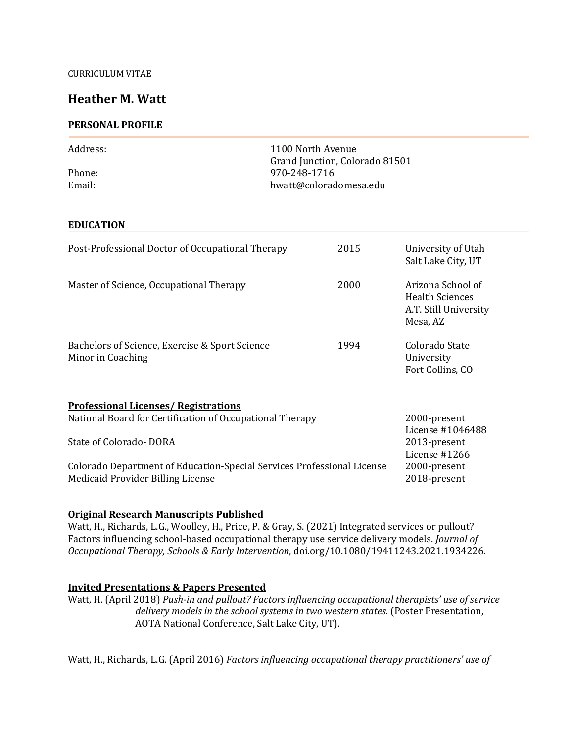# **Heather M. Watt**

#### **PERSONAL PROFILE**

| Address: | 1100 North Avenue<br>Grand Junction, Colorado 81501 |
|----------|-----------------------------------------------------|
| Phone:   | 970-248-1716                                        |
| Email:   | hwatt@coloradomesa.edu                              |

#### **EDUCATION**

| Post-Professional Doctor of Occupational Therapy                       | 2015 | University of Utah<br>Salt Lake City, UT                                         |
|------------------------------------------------------------------------|------|----------------------------------------------------------------------------------|
| Master of Science, Occupational Therapy                                | 2000 | Arizona School of<br><b>Health Sciences</b><br>A.T. Still University<br>Mesa, AZ |
| Bachelors of Science, Exercise & Sport Science<br>Minor in Coaching    | 1994 | Colorado State<br>University<br>Fort Collins, CO                                 |
| <b>Professional Licenses/ Registrations</b>                            |      |                                                                                  |
| National Board for Certification of Occupational Therapy               |      | 2000-present                                                                     |
| State of Colorado-DORA                                                 |      | License #1046488<br>2013-present                                                 |
|                                                                        |      | License #1266                                                                    |
| Colorado Department of Education-Special Services Professional License |      | 2000-present                                                                     |

### **Original Research Manuscripts Published**

Watt, H., Richards, L.G., Woolley, H., Price, P. & Gray, S. (2021) Integrated services or pullout? Factors influencing school-based occupational therapy use service delivery models. *Journal of Occupational Therapy, Schools & Early Intervention*, doi.org/10.1080/19411243.2021.1934226.

Medicaid Provider Billing License 2018-present

#### **Invited Presentations & Papers Presented**

Watt, H. (April 2018) Push-in and pullout? Factors influencing occupational therapists' use of service delivery models in the school systems in two western states. (Poster Presentation, AOTA National Conference, Salt Lake City, UT).

Watt, H., Richards, L.G. (April 2016) *Factors influencing occupational therapy practitioners' use of*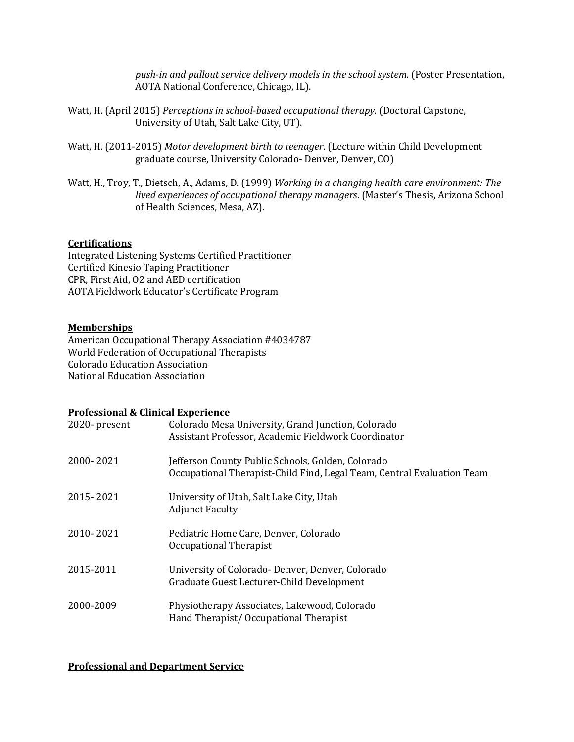*push-in and pullout service delivery models in the school system.* (Poster Presentation, AOTA National Conference, Chicago, IL).

- Watt, H. (April 2015) *Perceptions in school-based occupational therapy.* (Doctoral Capstone, University of Utah, Salt Lake City, UT).
- Watt, H. (2011-2015) Motor development birth to teenager. (Lecture within Child Development graduate course, University Colorado- Denver, Denver, CO)
- Watt, H., Troy, T., Dietsch, A., Adams, D. (1999) *Working in a changing health care environment: The lived experiences of occupational therapy managers.* (Master's Thesis, Arizona School of Health Sciences, Mesa, AZ).

#### **Certifications**

Integrated Listening Systems Certified Practitioner Certified Kinesio Taping Practitioner CPR, First Aid, O2 and AED certification AOTA Fieldwork Educator's Certificate Program

#### **Memberships**

American Occupational Therapy Association #4034787 World Federation of Occupational Therapists Colorado Education Association National Education Association

#### **Professional & Clinical Experience**

| <u>і і окезлопат &amp; спінсат парегісіксе</u> |                                                                                                                             |
|------------------------------------------------|-----------------------------------------------------------------------------------------------------------------------------|
| 2020- present                                  | Colorado Mesa University, Grand Junction, Colorado<br>Assistant Professor, Academic Fieldwork Coordinator                   |
| 2000-2021                                      | Jefferson County Public Schools, Golden, Colorado<br>Occupational Therapist-Child Find, Legal Team, Central Evaluation Team |
| 2015 - 2021                                    | University of Utah, Salt Lake City, Utah<br><b>Adjunct Faculty</b>                                                          |
| 2010-2021                                      | Pediatric Home Care, Denver, Colorado<br>Occupational Therapist                                                             |
| 2015-2011                                      | University of Colorado-Denver, Denver, Colorado<br>Graduate Guest Lecturer-Child Development                                |
| 2000-2009                                      | Physiotherapy Associates, Lakewood, Colorado<br>Hand Therapist/Occupational Therapist                                       |

#### **Professional and Department Service**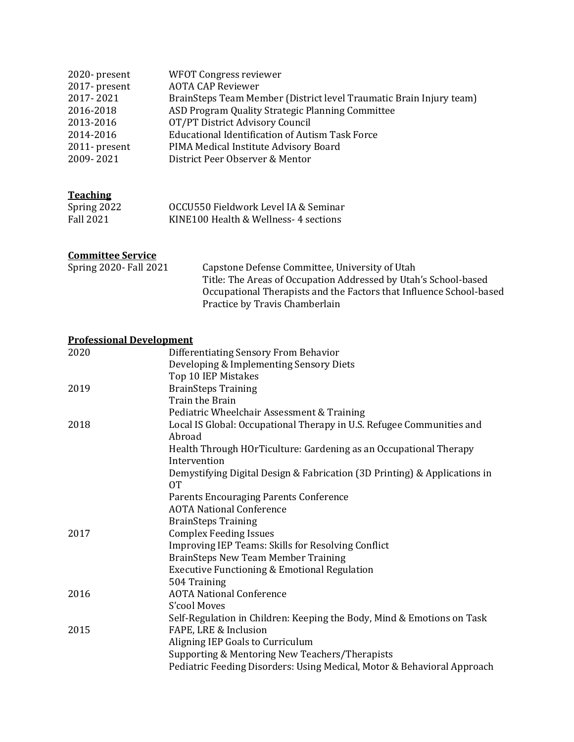| 2020-present  | <b>WFOT Congress reviewer</b>                                       |
|---------------|---------------------------------------------------------------------|
| 2017-present  | <b>AOTA CAP Reviewer</b>                                            |
| 2017-2021     | BrainSteps Team Member (District level Traumatic Brain Injury team) |
| 2016-2018     | ASD Program Quality Strategic Planning Committee                    |
| 2013-2016     | OT/PT District Advisory Council                                     |
| 2014-2016     | <b>Educational Identification of Autism Task Force</b>              |
| 2011- present | PIMA Medical Institute Advisory Board                               |
| 2009-2021     | District Peer Observer & Mentor                                     |
|               |                                                                     |

## **Teaching**

| Spring 2022 | OCCU550 Fieldwork Level IA & Seminar |
|-------------|--------------------------------------|
| Fall 2021   | KINE100 Health & Wellness-4 sections |

### **Committee Service**

| Spring 2020- Fall 2021 | Capstone Defense Committee, University of Utah                      |
|------------------------|---------------------------------------------------------------------|
|                        | Title: The Areas of Occupation Addressed by Utah's School-based     |
|                        | Occupational Therapists and the Factors that Influence School-based |
|                        | Practice by Travis Chamberlain                                      |

#### **Professional Development**

| 2020 | Differentiating Sensory From Behavior                                             |
|------|-----------------------------------------------------------------------------------|
|      | Developing & Implementing Sensory Diets                                           |
|      | Top 10 IEP Mistakes                                                               |
| 2019 | <b>BrainSteps Training</b>                                                        |
|      | Train the Brain                                                                   |
|      | Pediatric Wheelchair Assessment & Training                                        |
| 2018 | Local IS Global: Occupational Therapy in U.S. Refugee Communities and<br>Abroad   |
|      | Health Through HOrTiculture: Gardening as an Occupational Therapy<br>Intervention |
|      | Demystifying Digital Design & Fabrication (3D Printing) & Applications in<br>0T   |
|      | <b>Parents Encouraging Parents Conference</b>                                     |
|      | <b>AOTA National Conference</b>                                                   |
|      | <b>BrainSteps Training</b>                                                        |
| 2017 | <b>Complex Feeding Issues</b>                                                     |
|      | Improving IEP Teams: Skills for Resolving Conflict                                |
|      | <b>BrainSteps New Team Member Training</b>                                        |
|      | Executive Functioning & Emotional Regulation                                      |
|      | 504 Training                                                                      |
| 2016 | <b>AOTA National Conference</b>                                                   |
|      | S'cool Moves                                                                      |
|      | Self-Regulation in Children: Keeping the Body, Mind & Emotions on Task            |
| 2015 | FAPE, LRE & Inclusion                                                             |
|      | Aligning IEP Goals to Curriculum                                                  |
|      | Supporting & Mentoring New Teachers/Therapists                                    |
|      | Pediatric Feeding Disorders: Using Medical, Motor & Behavioral Approach           |